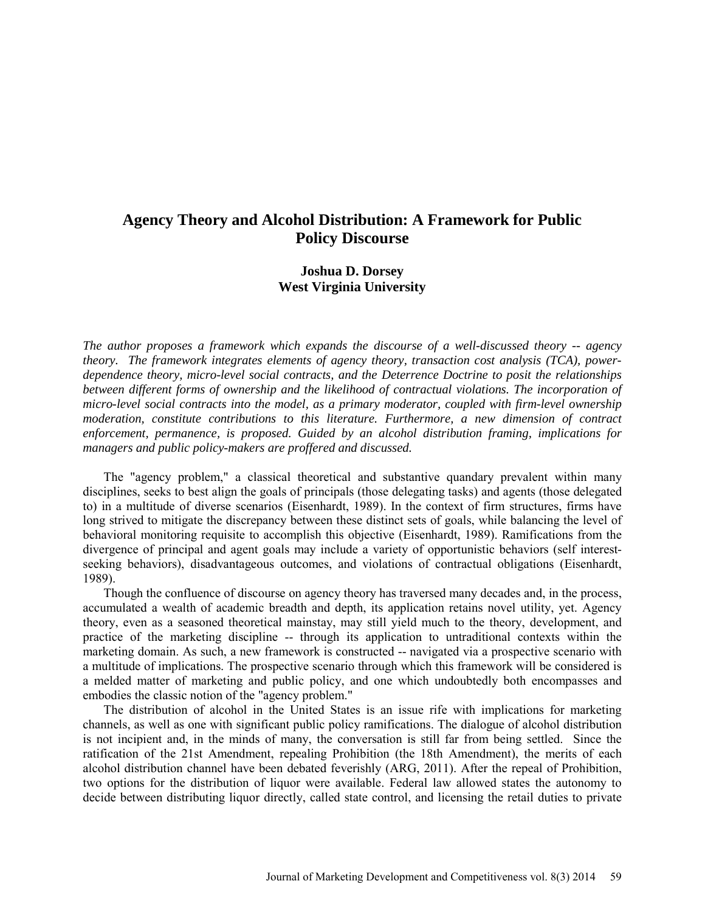# **Agency Theory and Alcohol Distribution: A Framework for Public Policy Discourse**

## **Joshua D. Dorsey West Virginia University**

*The author proposes a framework which expands the discourse of a well-discussed theory -- agency theory. The framework integrates elements of agency theory, transaction cost analysis (TCA), powerdependence theory, micro-level social contracts, and the Deterrence Doctrine to posit the relationships*  between different forms of ownership and the likelihood of contractual violations. The incorporation of *micro-level social contracts into the model, as a primary moderator, coupled with firm-level ownership moderation, constitute contributions to this literature. Furthermore, a new dimension of contract enforcement, permanence, is proposed. Guided by an alcohol distribution framing, implications for managers and public policy-makers are proffered and discussed.*

The "agency problem," a classical theoretical and substantive quandary prevalent within many disciplines, seeks to best align the goals of principals (those delegating tasks) and agents (those delegated to) in a multitude of diverse scenarios (Eisenhardt, 1989). In the context of firm structures, firms have long strived to mitigate the discrepancy between these distinct sets of goals, while balancing the level of behavioral monitoring requisite to accomplish this objective (Eisenhardt, 1989). Ramifications from the divergence of principal and agent goals may include a variety of opportunistic behaviors (self interestseeking behaviors), disadvantageous outcomes, and violations of contractual obligations (Eisenhardt, 1989).

Though the confluence of discourse on agency theory has traversed many decades and, in the process, accumulated a wealth of academic breadth and depth, its application retains novel utility, yet. Agency theory, even as a seasoned theoretical mainstay, may still yield much to the theory, development, and practice of the marketing discipline -- through its application to untraditional contexts within the marketing domain. As such, a new framework is constructed -- navigated via a prospective scenario with a multitude of implications. The prospective scenario through which this framework will be considered is a melded matter of marketing and public policy, and one which undoubtedly both encompasses and embodies the classic notion of the "agency problem."

The distribution of alcohol in the United States is an issue rife with implications for marketing channels, as well as one with significant public policy ramifications. The dialogue of alcohol distribution is not incipient and, in the minds of many, the conversation is still far from being settled. Since the ratification of the 21st Amendment, repealing Prohibition (the 18th Amendment), the merits of each alcohol distribution channel have been debated feverishly (ARG, 2011). After the repeal of Prohibition, two options for the distribution of liquor were available. Federal law allowed states the autonomy to decide between distributing liquor directly, called state control, and licensing the retail duties to private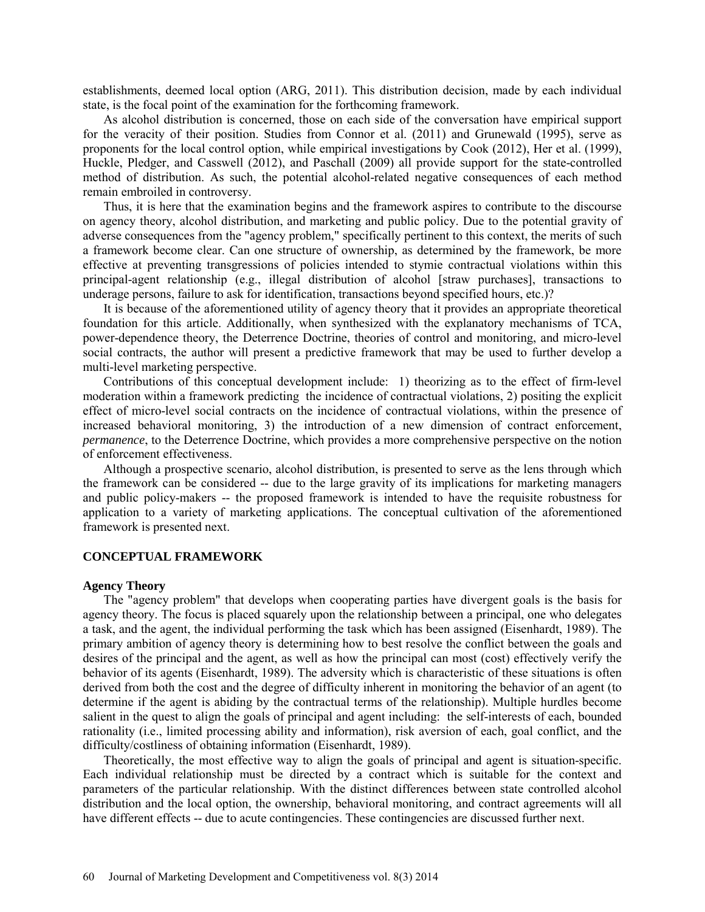establishments, deemed local option (ARG, 2011). This distribution decision, made by each individual state, is the focal point of the examination for the forthcoming framework.

As alcohol distribution is concerned, those on each side of the conversation have empirical support for the veracity of their position. Studies from Connor et al. (2011) and Grunewald (1995), serve as proponents for the local control option, while empirical investigations by Cook (2012), Her et al. (1999), Huckle, Pledger, and Casswell (2012), and Paschall (2009) all provide support for the state-controlled method of distribution. As such, the potential alcohol-related negative consequences of each method remain embroiled in controversy.

Thus, it is here that the examination begins and the framework aspires to contribute to the discourse on agency theory, alcohol distribution, and marketing and public policy. Due to the potential gravity of adverse consequences from the "agency problem," specifically pertinent to this context, the merits of such a framework become clear. Can one structure of ownership, as determined by the framework, be more effective at preventing transgressions of policies intended to stymie contractual violations within this principal-agent relationship (e.g., illegal distribution of alcohol [straw purchases], transactions to underage persons, failure to ask for identification, transactions beyond specified hours, etc.)?

It is because of the aforementioned utility of agency theory that it provides an appropriate theoretical foundation for this article. Additionally, when synthesized with the explanatory mechanisms of TCA, power-dependence theory, the Deterrence Doctrine, theories of control and monitoring, and micro-level social contracts, the author will present a predictive framework that may be used to further develop a multi-level marketing perspective.

Contributions of this conceptual development include: 1) theorizing as to the effect of firm-level moderation within a framework predicting the incidence of contractual violations, 2) positing the explicit effect of micro-level social contracts on the incidence of contractual violations, within the presence of increased behavioral monitoring, 3) the introduction of a new dimension of contract enforcement, *permanence*, to the Deterrence Doctrine, which provides a more comprehensive perspective on the notion of enforcement effectiveness.

Although a prospective scenario, alcohol distribution, is presented to serve as the lens through which the framework can be considered -- due to the large gravity of its implications for marketing managers and public policy-makers -- the proposed framework is intended to have the requisite robustness for application to a variety of marketing applications. The conceptual cultivation of the aforementioned framework is presented next.

## **CONCEPTUAL FRAMEWORK**

#### **Agency Theory**

The "agency problem" that develops when cooperating parties have divergent goals is the basis for agency theory. The focus is placed squarely upon the relationship between a principal, one who delegates a task, and the agent, the individual performing the task which has been assigned (Eisenhardt, 1989). The primary ambition of agency theory is determining how to best resolve the conflict between the goals and desires of the principal and the agent, as well as how the principal can most (cost) effectively verify the behavior of its agents (Eisenhardt, 1989). The adversity which is characteristic of these situations is often derived from both the cost and the degree of difficulty inherent in monitoring the behavior of an agent (to determine if the agent is abiding by the contractual terms of the relationship). Multiple hurdles become salient in the quest to align the goals of principal and agent including: the self-interests of each, bounded rationality (i.e., limited processing ability and information), risk aversion of each, goal conflict, and the difficulty/costliness of obtaining information (Eisenhardt, 1989).

Theoretically, the most effective way to align the goals of principal and agent is situation-specific. Each individual relationship must be directed by a contract which is suitable for the context and parameters of the particular relationship. With the distinct differences between state controlled alcohol distribution and the local option, the ownership, behavioral monitoring, and contract agreements will all have different effects -- due to acute contingencies. These contingencies are discussed further next.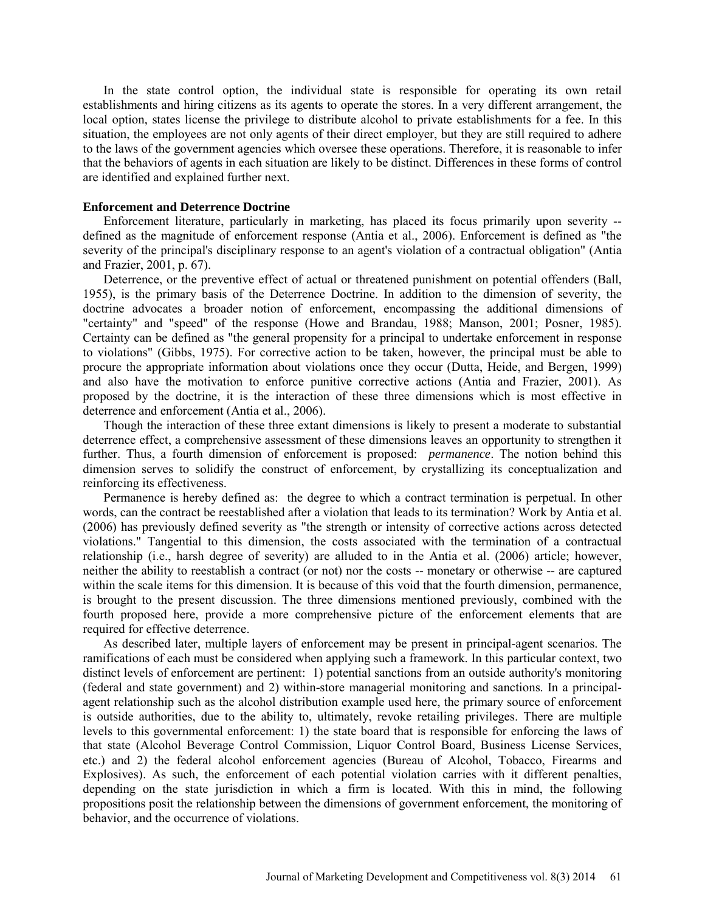In the state control option, the individual state is responsible for operating its own retail establishments and hiring citizens as its agents to operate the stores. In a very different arrangement, the local option, states license the privilege to distribute alcohol to private establishments for a fee. In this situation, the employees are not only agents of their direct employer, but they are still required to adhere to the laws of the government agencies which oversee these operations. Therefore, it is reasonable to infer that the behaviors of agents in each situation are likely to be distinct. Differences in these forms of control are identified and explained further next.

#### **Enforcement and Deterrence Doctrine**

Enforcement literature, particularly in marketing, has placed its focus primarily upon severity - defined as the magnitude of enforcement response (Antia et al., 2006). Enforcement is defined as "the severity of the principal's disciplinary response to an agent's violation of a contractual obligation" (Antia and Frazier, 2001, p. 67).

Deterrence, or the preventive effect of actual or threatened punishment on potential offenders (Ball, 1955), is the primary basis of the Deterrence Doctrine. In addition to the dimension of severity, the doctrine advocates a broader notion of enforcement, encompassing the additional dimensions of "certainty" and "speed" of the response (Howe and Brandau, 1988; Manson, 2001; Posner, 1985). Certainty can be defined as "the general propensity for a principal to undertake enforcement in response to violations" (Gibbs, 1975). For corrective action to be taken, however, the principal must be able to procure the appropriate information about violations once they occur (Dutta, Heide, and Bergen, 1999) and also have the motivation to enforce punitive corrective actions (Antia and Frazier, 2001). As proposed by the doctrine, it is the interaction of these three dimensions which is most effective in deterrence and enforcement (Antia et al., 2006).

Though the interaction of these three extant dimensions is likely to present a moderate to substantial deterrence effect, a comprehensive assessment of these dimensions leaves an opportunity to strengthen it further. Thus, a fourth dimension of enforcement is proposed: *permanence*. The notion behind this dimension serves to solidify the construct of enforcement, by crystallizing its conceptualization and reinforcing its effectiveness.

Permanence is hereby defined as: the degree to which a contract termination is perpetual. In other words, can the contract be reestablished after a violation that leads to its termination? Work by Antia et al. (2006) has previously defined severity as "the strength or intensity of corrective actions across detected violations." Tangential to this dimension, the costs associated with the termination of a contractual relationship (i.e., harsh degree of severity) are alluded to in the Antia et al. (2006) article; however, neither the ability to reestablish a contract (or not) nor the costs -- monetary or otherwise -- are captured within the scale items for this dimension. It is because of this void that the fourth dimension, permanence, is brought to the present discussion. The three dimensions mentioned previously, combined with the fourth proposed here, provide a more comprehensive picture of the enforcement elements that are required for effective deterrence.

As described later, multiple layers of enforcement may be present in principal-agent scenarios. The ramifications of each must be considered when applying such a framework. In this particular context, two distinct levels of enforcement are pertinent: 1) potential sanctions from an outside authority's monitoring (federal and state government) and 2) within-store managerial monitoring and sanctions. In a principalagent relationship such as the alcohol distribution example used here, the primary source of enforcement is outside authorities, due to the ability to, ultimately, revoke retailing privileges. There are multiple levels to this governmental enforcement: 1) the state board that is responsible for enforcing the laws of that state (Alcohol Beverage Control Commission, Liquor Control Board, Business License Services, etc.) and 2) the federal alcohol enforcement agencies (Bureau of Alcohol, Tobacco, Firearms and Explosives). As such, the enforcement of each potential violation carries with it different penalties, depending on the state jurisdiction in which a firm is located. With this in mind, the following propositions posit the relationship between the dimensions of government enforcement, the monitoring of behavior, and the occurrence of violations.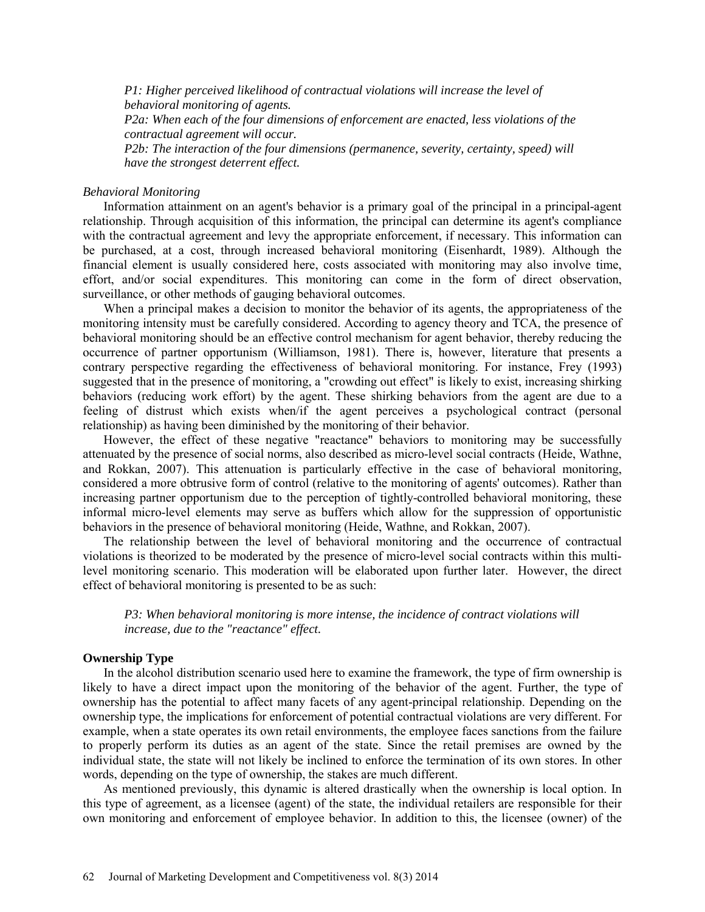*P1: Higher perceived likelihood of contractual violations will increase the level of behavioral monitoring of agents.* 

*P2a: When each of the four dimensions of enforcement are enacted, less violations of the contractual agreement will occur.*

*P2b: The interaction of the four dimensions (permanence, severity, certainty, speed) will have the strongest deterrent effect.*

## *Behavioral Monitoring*

Information attainment on an agent's behavior is a primary goal of the principal in a principal-agent relationship. Through acquisition of this information, the principal can determine its agent's compliance with the contractual agreement and levy the appropriate enforcement, if necessary. This information can be purchased, at a cost, through increased behavioral monitoring (Eisenhardt, 1989). Although the financial element is usually considered here, costs associated with monitoring may also involve time, effort, and/or social expenditures. This monitoring can come in the form of direct observation, surveillance, or other methods of gauging behavioral outcomes.

When a principal makes a decision to monitor the behavior of its agents, the appropriateness of the monitoring intensity must be carefully considered. According to agency theory and TCA, the presence of behavioral monitoring should be an effective control mechanism for agent behavior, thereby reducing the occurrence of partner opportunism (Williamson, 1981). There is, however, literature that presents a contrary perspective regarding the effectiveness of behavioral monitoring. For instance, Frey (1993) suggested that in the presence of monitoring, a "crowding out effect" is likely to exist, increasing shirking behaviors (reducing work effort) by the agent. These shirking behaviors from the agent are due to a feeling of distrust which exists when/if the agent perceives a psychological contract (personal relationship) as having been diminished by the monitoring of their behavior.

However, the effect of these negative "reactance" behaviors to monitoring may be successfully attenuated by the presence of social norms, also described as micro-level social contracts (Heide, Wathne, and Rokkan, 2007). This attenuation is particularly effective in the case of behavioral monitoring, considered a more obtrusive form of control (relative to the monitoring of agents' outcomes). Rather than increasing partner opportunism due to the perception of tightly-controlled behavioral monitoring, these informal micro-level elements may serve as buffers which allow for the suppression of opportunistic behaviors in the presence of behavioral monitoring (Heide, Wathne, and Rokkan, 2007).

The relationship between the level of behavioral monitoring and the occurrence of contractual violations is theorized to be moderated by the presence of micro-level social contracts within this multilevel monitoring scenario. This moderation will be elaborated upon further later. However, the direct effect of behavioral monitoring is presented to be as such:

*P3: When behavioral monitoring is more intense, the incidence of contract violations will increase, due to the "reactance" effect.*

## **Ownership Type**

In the alcohol distribution scenario used here to examine the framework, the type of firm ownership is likely to have a direct impact upon the monitoring of the behavior of the agent. Further, the type of ownership has the potential to affect many facets of any agent-principal relationship. Depending on the ownership type, the implications for enforcement of potential contractual violations are very different. For example, when a state operates its own retail environments, the employee faces sanctions from the failure to properly perform its duties as an agent of the state. Since the retail premises are owned by the individual state, the state will not likely be inclined to enforce the termination of its own stores. In other words, depending on the type of ownership, the stakes are much different.

As mentioned previously, this dynamic is altered drastically when the ownership is local option. In this type of agreement, as a licensee (agent) of the state, the individual retailers are responsible for their own monitoring and enforcement of employee behavior. In addition to this, the licensee (owner) of the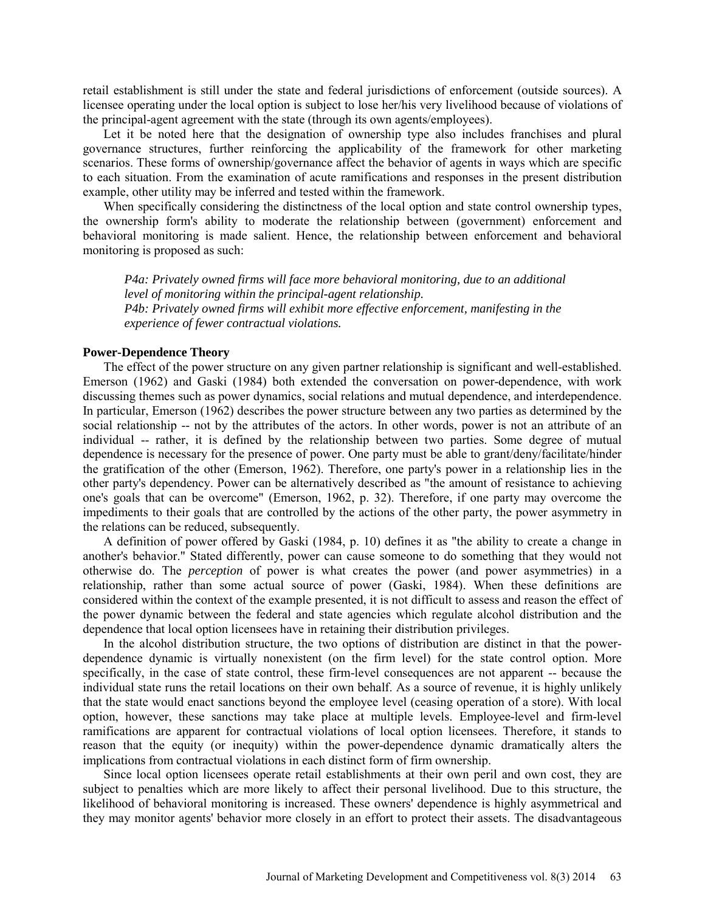retail establishment is still under the state and federal jurisdictions of enforcement (outside sources). A licensee operating under the local option is subject to lose her/his very livelihood because of violations of the principal-agent agreement with the state (through its own agents/employees).

Let it be noted here that the designation of ownership type also includes franchises and plural governance structures, further reinforcing the applicability of the framework for other marketing scenarios. These forms of ownership/governance affect the behavior of agents in ways which are specific to each situation. From the examination of acute ramifications and responses in the present distribution example, other utility may be inferred and tested within the framework.

When specifically considering the distinctness of the local option and state control ownership types, the ownership form's ability to moderate the relationship between (government) enforcement and behavioral monitoring is made salient. Hence, the relationship between enforcement and behavioral monitoring is proposed as such:

*P4a: Privately owned firms will face more behavioral monitoring, due to an additional level of monitoring within the principal-agent relationship. P4b: Privately owned firms will exhibit more effective enforcement, manifesting in the experience of fewer contractual violations.*

## **Power-Dependence Theory**

The effect of the power structure on any given partner relationship is significant and well-established. Emerson (1962) and Gaski (1984) both extended the conversation on power-dependence, with work discussing themes such as power dynamics, social relations and mutual dependence, and interdependence. In particular, Emerson (1962) describes the power structure between any two parties as determined by the social relationship -- not by the attributes of the actors. In other words, power is not an attribute of an individual -- rather, it is defined by the relationship between two parties. Some degree of mutual dependence is necessary for the presence of power. One party must be able to grant/deny/facilitate/hinder the gratification of the other (Emerson, 1962). Therefore, one party's power in a relationship lies in the other party's dependency. Power can be alternatively described as "the amount of resistance to achieving one's goals that can be overcome" (Emerson, 1962, p. 32). Therefore, if one party may overcome the impediments to their goals that are controlled by the actions of the other party, the power asymmetry in the relations can be reduced, subsequently.

A definition of power offered by Gaski (1984, p. 10) defines it as "the ability to create a change in another's behavior." Stated differently, power can cause someone to do something that they would not otherwise do. The *perception* of power is what creates the power (and power asymmetries) in a relationship, rather than some actual source of power (Gaski, 1984). When these definitions are considered within the context of the example presented, it is not difficult to assess and reason the effect of the power dynamic between the federal and state agencies which regulate alcohol distribution and the dependence that local option licensees have in retaining their distribution privileges.

In the alcohol distribution structure, the two options of distribution are distinct in that the powerdependence dynamic is virtually nonexistent (on the firm level) for the state control option. More specifically, in the case of state control, these firm-level consequences are not apparent -- because the individual state runs the retail locations on their own behalf. As a source of revenue, it is highly unlikely that the state would enact sanctions beyond the employee level (ceasing operation of a store). With local option, however, these sanctions may take place at multiple levels. Employee-level and firm-level ramifications are apparent for contractual violations of local option licensees. Therefore, it stands to reason that the equity (or inequity) within the power-dependence dynamic dramatically alters the implications from contractual violations in each distinct form of firm ownership.

Since local option licensees operate retail establishments at their own peril and own cost, they are subject to penalties which are more likely to affect their personal livelihood. Due to this structure, the likelihood of behavioral monitoring is increased. These owners' dependence is highly asymmetrical and they may monitor agents' behavior more closely in an effort to protect their assets. The disadvantageous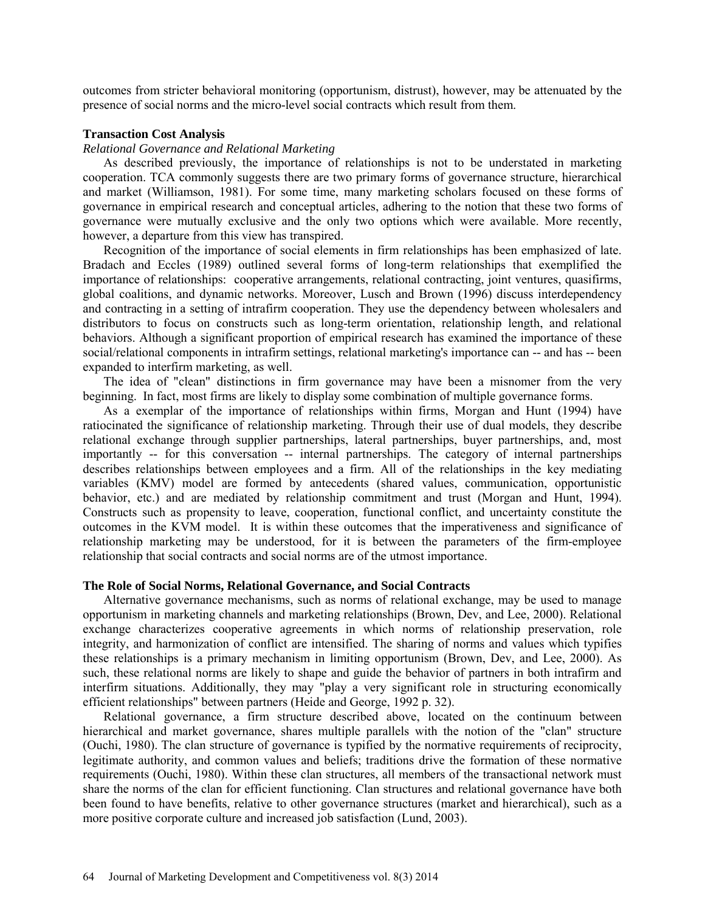outcomes from stricter behavioral monitoring (opportunism, distrust), however, may be attenuated by the presence of social norms and the micro-level social contracts which result from them.

## **Transaction Cost Analysis**

## *Relational Governance and Relational Marketing*

As described previously, the importance of relationships is not to be understated in marketing cooperation. TCA commonly suggests there are two primary forms of governance structure, hierarchical and market (Williamson, 1981). For some time, many marketing scholars focused on these forms of governance in empirical research and conceptual articles, adhering to the notion that these two forms of governance were mutually exclusive and the only two options which were available. More recently, however, a departure from this view has transpired.

Recognition of the importance of social elements in firm relationships has been emphasized of late. Bradach and Eccles (1989) outlined several forms of long-term relationships that exemplified the importance of relationships: cooperative arrangements, relational contracting, joint ventures, quasifirms, global coalitions, and dynamic networks. Moreover, Lusch and Brown (1996) discuss interdependency and contracting in a setting of intrafirm cooperation. They use the dependency between wholesalers and distributors to focus on constructs such as long-term orientation, relationship length, and relational behaviors. Although a significant proportion of empirical research has examined the importance of these social/relational components in intrafirm settings, relational marketing's importance can -- and has -- been expanded to interfirm marketing, as well.

The idea of "clean" distinctions in firm governance may have been a misnomer from the very beginning. In fact, most firms are likely to display some combination of multiple governance forms.

As a exemplar of the importance of relationships within firms, Morgan and Hunt (1994) have ratiocinated the significance of relationship marketing. Through their use of dual models, they describe relational exchange through supplier partnerships, lateral partnerships, buyer partnerships, and, most importantly -- for this conversation -- internal partnerships. The category of internal partnerships describes relationships between employees and a firm. All of the relationships in the key mediating variables (KMV) model are formed by antecedents (shared values, communication, opportunistic behavior, etc.) and are mediated by relationship commitment and trust (Morgan and Hunt, 1994). Constructs such as propensity to leave, cooperation, functional conflict, and uncertainty constitute the outcomes in the KVM model. It is within these outcomes that the imperativeness and significance of relationship marketing may be understood, for it is between the parameters of the firm-employee relationship that social contracts and social norms are of the utmost importance.

## **The Role of Social Norms, Relational Governance, and Social Contracts**

Alternative governance mechanisms, such as norms of relational exchange, may be used to manage opportunism in marketing channels and marketing relationships (Brown, Dev, and Lee, 2000). Relational exchange characterizes cooperative agreements in which norms of relationship preservation, role integrity, and harmonization of conflict are intensified. The sharing of norms and values which typifies these relationships is a primary mechanism in limiting opportunism (Brown, Dev, and Lee, 2000). As such, these relational norms are likely to shape and guide the behavior of partners in both intrafirm and interfirm situations. Additionally, they may "play a very significant role in structuring economically efficient relationships" between partners (Heide and George, 1992 p. 32).

Relational governance, a firm structure described above, located on the continuum between hierarchical and market governance, shares multiple parallels with the notion of the "clan" structure (Ouchi, 1980). The clan structure of governance is typified by the normative requirements of reciprocity, legitimate authority, and common values and beliefs; traditions drive the formation of these normative requirements (Ouchi, 1980). Within these clan structures, all members of the transactional network must share the norms of the clan for efficient functioning. Clan structures and relational governance have both been found to have benefits, relative to other governance structures (market and hierarchical), such as a more positive corporate culture and increased job satisfaction (Lund, 2003).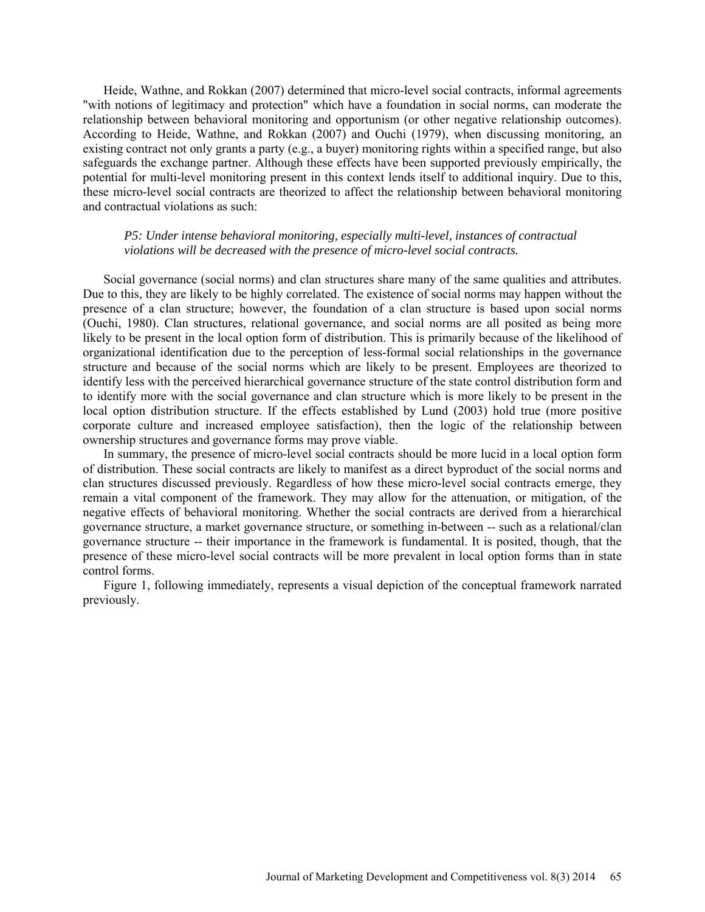Heide, Wathne, and Rokkan (2007) determined that micro-level social contracts, informal agreements "with notions of legitimacy and protection" which have a foundation in social norms, can moderate the relationship between behavioral monitoring and opportunism (or other negative relationship outcomes). According to Heide, Wathne, and Rokkan (2007) and Ouchi (1979), when discussing monitoring, an existing contract not only grants a party (e.g., a buyer) monitoring rights within a specified range, but also safeguards the exchange partner. Although these effects have been supported previously empirically, the potential for multi-level monitoring present in this context lends itself to additional inquiry. Due to this, these micro-level social contracts are theorized to affect the relationship between behavioral monitoring and contractual violations as such:

## *P5: Under intense behavioral monitoring, especially multi-level, instances of contractual violations will be decreased with the presence of micro-level social contracts.*

Social governance (social norms) and clan structures share many of the same qualities and attributes. Due to this, they are likely to be highly correlated. The existence of social norms may happen without the presence of a clan structure; however, the foundation of a clan structure is based upon social norms (Ouchi, 1980). Clan structures, relational governance, and social norms are all posited as being more likely to be present in the local option form of distribution. This is primarily because of the likelihood of organizational identification due to the perception of less-formal social relationships in the governance structure and because of the social norms which are likely to be present. Employees are theorized to identify less with the perceived hierarchical governance structure of the state control distribution form and to identify more with the social governance and clan structure which is more likely to be present in the local option distribution structure. If the effects established by Lund (2003) hold true (more positive corporate culture and increased employee satisfaction), then the logic of the relationship between ownership structures and governance forms may prove viable.

In summary, the presence of micro-level social contracts should be more lucid in a local option form of distribution. These social contracts are likely to manifest as a direct byproduct of the social norms and clan structures discussed previously. Regardless of how these micro-level social contracts emerge, they remain a vital component of the framework. They may allow for the attenuation, or mitigation, of the negative effects of behavioral monitoring. Whether the social contracts are derived from a hierarchical governance structure, a market governance structure, or something in-between -- such as a relational/clan governance structure -- their importance in the framework is fundamental. It is posited, though, that the presence of these micro-level social contracts will be more prevalent in local option forms than in state control forms.

Figure 1, following immediately, represents a visual depiction of the conceptual framework narrated previously.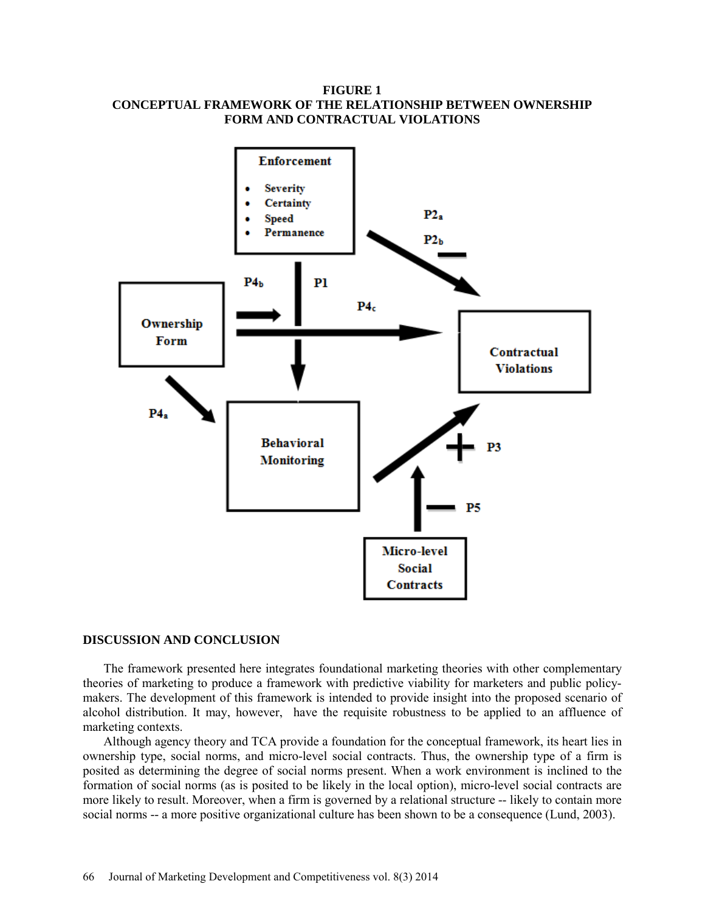## **FIGURE 1 CONCEPTUAL FRAMEWORK OF THE RELATIONSHIP BETWEEN OWNERSHIP FORM AND CONTRACTUAL VIOLATIONS**



## **DISCUSSION AND CONCLUSION**

The framework presented here integrates foundational marketing theories with other complementary theories of marketing to produce a framework with predictive viability for marketers and public policymakers. The development of this framework is intended to provide insight into the proposed scenario of alcohol distribution. It may, however, have the requisite robustness to be applied to an affluence of marketing contexts.

Although agency theory and TCA provide a foundation for the conceptual framework, its heart lies in ownership type, social norms, and micro-level social contracts. Thus, the ownership type of a firm is posited as determining the degree of social norms present. When a work environment is inclined to the formation of social norms (as is posited to be likely in the local option), micro-level social contracts are more likely to result. Moreover, when a firm is governed by a relational structure -- likely to contain more social norms -- a more positive organizational culture has been shown to be a consequence (Lund, 2003).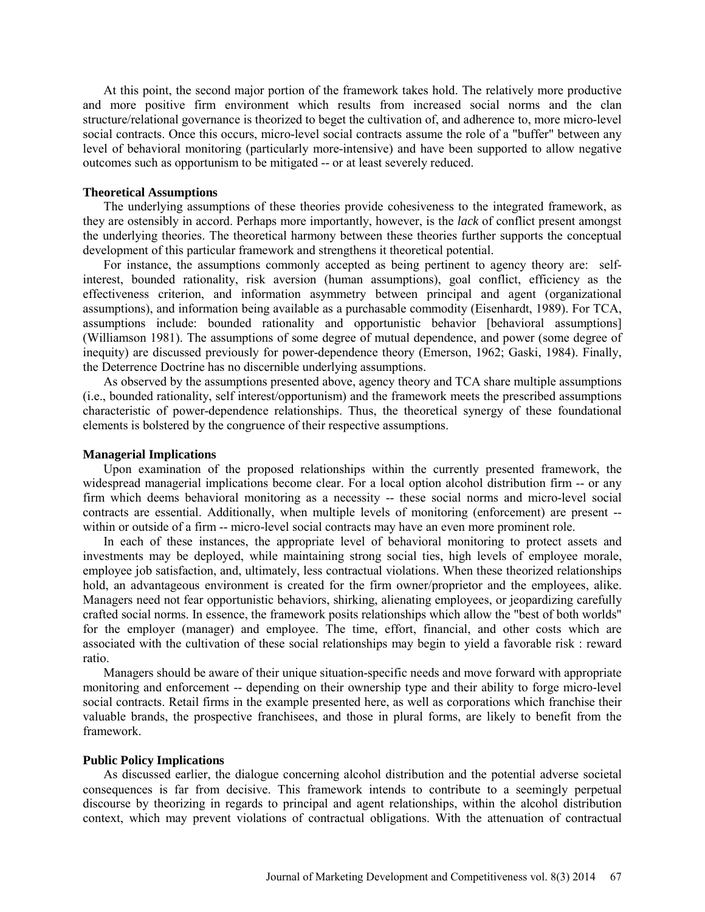At this point, the second major portion of the framework takes hold. The relatively more productive and more positive firm environment which results from increased social norms and the clan structure/relational governance is theorized to beget the cultivation of, and adherence to, more micro-level social contracts. Once this occurs, micro-level social contracts assume the role of a "buffer" between any level of behavioral monitoring (particularly more-intensive) and have been supported to allow negative outcomes such as opportunism to be mitigated -- or at least severely reduced.

#### **Theoretical Assumptions**

The underlying assumptions of these theories provide cohesiveness to the integrated framework, as they are ostensibly in accord. Perhaps more importantly, however, is the *lack* of conflict present amongst the underlying theories. The theoretical harmony between these theories further supports the conceptual development of this particular framework and strengthens it theoretical potential.

For instance, the assumptions commonly accepted as being pertinent to agency theory are: selfinterest, bounded rationality, risk aversion (human assumptions), goal conflict, efficiency as the effectiveness criterion, and information asymmetry between principal and agent (organizational assumptions), and information being available as a purchasable commodity (Eisenhardt, 1989). For TCA, assumptions include: bounded rationality and opportunistic behavior [behavioral assumptions] (Williamson 1981). The assumptions of some degree of mutual dependence, and power (some degree of inequity) are discussed previously for power-dependence theory (Emerson, 1962; Gaski, 1984). Finally, the Deterrence Doctrine has no discernible underlying assumptions.

As observed by the assumptions presented above, agency theory and TCA share multiple assumptions (i.e., bounded rationality, self interest/opportunism) and the framework meets the prescribed assumptions characteristic of power-dependence relationships. Thus, the theoretical synergy of these foundational elements is bolstered by the congruence of their respective assumptions.

### **Managerial Implications**

Upon examination of the proposed relationships within the currently presented framework, the widespread managerial implications become clear. For a local option alcohol distribution firm -- or any firm which deems behavioral monitoring as a necessity -- these social norms and micro-level social contracts are essential. Additionally, when multiple levels of monitoring (enforcement) are present - within or outside of a firm -- micro-level social contracts may have an even more prominent role.

In each of these instances, the appropriate level of behavioral monitoring to protect assets and investments may be deployed, while maintaining strong social ties, high levels of employee morale, employee job satisfaction, and, ultimately, less contractual violations. When these theorized relationships hold, an advantageous environment is created for the firm owner/proprietor and the employees, alike. Managers need not fear opportunistic behaviors, shirking, alienating employees, or jeopardizing carefully crafted social norms. In essence, the framework posits relationships which allow the "best of both worlds" for the employer (manager) and employee. The time, effort, financial, and other costs which are associated with the cultivation of these social relationships may begin to yield a favorable risk : reward ratio.

Managers should be aware of their unique situation-specific needs and move forward with appropriate monitoring and enforcement -- depending on their ownership type and their ability to forge micro-level social contracts. Retail firms in the example presented here, as well as corporations which franchise their valuable brands, the prospective franchisees, and those in plural forms, are likely to benefit from the framework.

#### **Public Policy Implications**

As discussed earlier, the dialogue concerning alcohol distribution and the potential adverse societal consequences is far from decisive. This framework intends to contribute to a seemingly perpetual discourse by theorizing in regards to principal and agent relationships, within the alcohol distribution context, which may prevent violations of contractual obligations. With the attenuation of contractual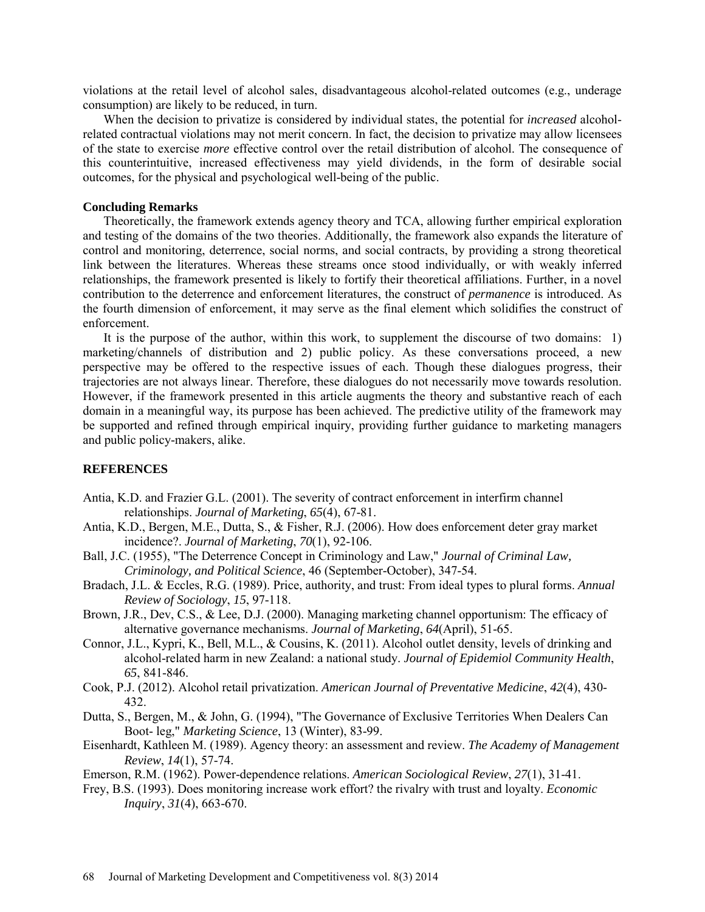violations at the retail level of alcohol sales, disadvantageous alcohol-related outcomes (e.g., underage consumption) are likely to be reduced, in turn.

When the decision to privatize is considered by individual states, the potential for *increased* alcoholrelated contractual violations may not merit concern. In fact, the decision to privatize may allow licensees of the state to exercise *more* effective control over the retail distribution of alcohol. The consequence of this counterintuitive, increased effectiveness may yield dividends, in the form of desirable social outcomes, for the physical and psychological well-being of the public.

## **Concluding Remarks**

Theoretically, the framework extends agency theory and TCA, allowing further empirical exploration and testing of the domains of the two theories. Additionally, the framework also expands the literature of control and monitoring, deterrence, social norms, and social contracts, by providing a strong theoretical link between the literatures. Whereas these streams once stood individually, or with weakly inferred relationships, the framework presented is likely to fortify their theoretical affiliations. Further, in a novel contribution to the deterrence and enforcement literatures, the construct of *permanence* is introduced. As the fourth dimension of enforcement, it may serve as the final element which solidifies the construct of enforcement.

It is the purpose of the author, within this work, to supplement the discourse of two domains: 1) marketing/channels of distribution and 2) public policy. As these conversations proceed, a new perspective may be offered to the respective issues of each. Though these dialogues progress, their trajectories are not always linear. Therefore, these dialogues do not necessarily move towards resolution. However, if the framework presented in this article augments the theory and substantive reach of each domain in a meaningful way, its purpose has been achieved. The predictive utility of the framework may be supported and refined through empirical inquiry, providing further guidance to marketing managers and public policy-makers, alike.

## **REFERENCES**

- Antia, K.D. and Frazier G.L. (2001). The severity of contract enforcement in interfirm channel relationships. *Journal of Marketing*, *65*(4), 67-81.
- Antia, K.D., Bergen, M.E., Dutta, S., & Fisher, R.J. (2006). How does enforcement deter gray market incidence?. *Journal of Marketing*, *70*(1), 92-106.
- Ball, J.C. (1955), "The Deterrence Concept in Criminology and Law," *Journal of Criminal Law, Criminology, and Political Science*, 46 (September-October), 347-54.
- Bradach, J.L. & Eccles, R.G. (1989). Price, authority, and trust: From ideal types to plural forms. *Annual Review of Sociology*, *15*, 97-118.
- Brown, J.R., Dev, C.S., & Lee, D.J. (2000). Managing marketing channel opportunism: The efficacy of alternative governance mechanisms. *Journal of Marketing*, *64*(April), 51-65.
- Connor, J.L., Kypri, K., Bell, M.L., & Cousins, K. (2011). Alcohol outlet density, levels of drinking and alcohol-related harm in new Zealand: a national study. *Journal of Epidemiol Community Health*, *65*, 841-846.
- Cook, P.J. (2012). Alcohol retail privatization. *American Journal of Preventative Medicine*, *42*(4), 430- 432.
- Dutta, S., Bergen, M., & John, G. (1994), "The Governance of Exclusive Territories When Dealers Can Boot- leg," *Marketing Science*, 13 (Winter), 83-99.
- Eisenhardt, Kathleen M. (1989). Agency theory: an assessment and review. *The Academy of Management Review*, *14*(1), 57-74.
- Emerson, R.M. (1962). Power-dependence relations. *American Sociological Review*, *27*(1), 31-41.
- Frey, B.S. (1993). Does monitoring increase work effort? the rivalry with trust and loyalty. *Economic Inquiry*, *31*(4), 663-670.